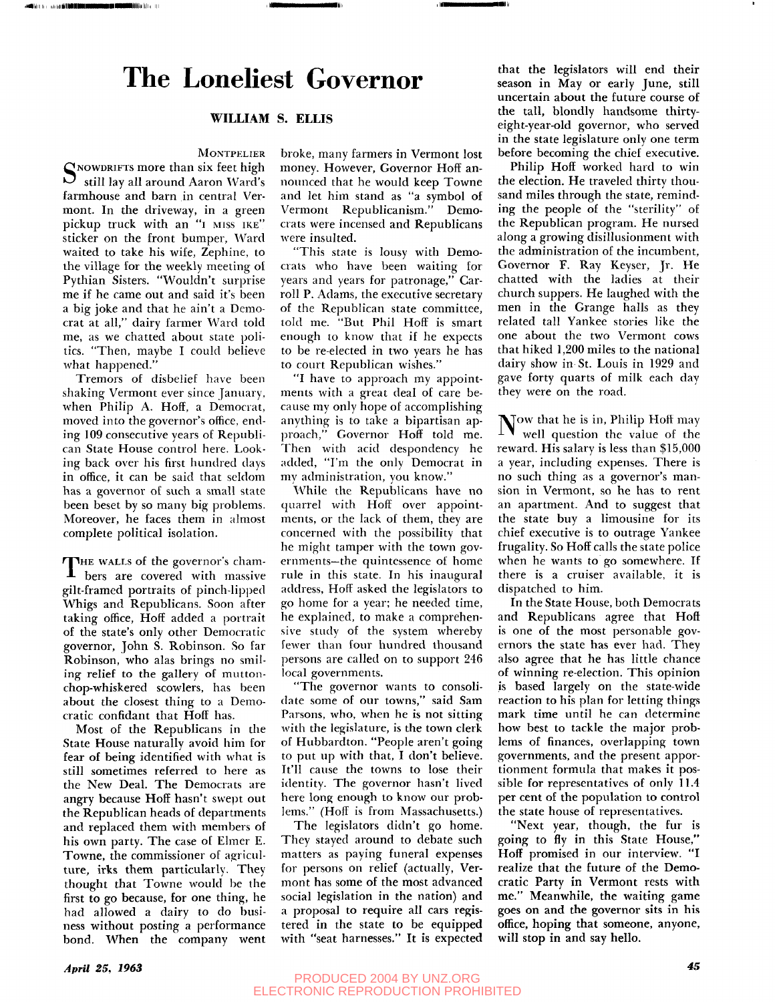## The Loneliest Governor

### **WILLIAM S. ELLIS**

### **MONTPELIER**

SNOWDRIFTS more than six feet high<br>So still lay all around Aaron Ward's still lay all around Aaron Ward's farmhouse and barn in central Vermont. In the driveway, in a green pickup truck with an "i MISS IKE" sticker on the front bumper, Ward waited to take his wife, Zephine, to the village for the weekly meeting of Pythian Sisters. "Wouldn't surprise me if he came out and said it's been a big joke and that he ain't a Democrat at all," dairy farmer Ward told me, as we chatted about state politics. "Then, maybe I could believe what happened."

Tremors of disbelief have been shaking Vermont ever since January, when Philip A. Hoff, a Democrat, moved into the governor's office, ending 109 consecutive years of Republican State House control here. Looking back over his first hundred days in office, it can be said that seldom has a governor of such a small state been beset by so many big problems. Moreover, he faces them in almost complete political isolation.

THE WALLS of the governor's cham-<br>bers are covered with massive THE WALLS of the governor's chamgilt-framed portraits of pinch-lipped Whigs and Republicans. Soon after taking office, Hoff added a portrait of the state's only other Democratic governor, John S. Robinson. So far Robinson, who alas brings no smiling relief to the gallery of muttonchop-whiskered scowlers, has been about the closest thing to a Democratic confidant that Hoff has.

Most of the Republicans in the State House naturally avoid him for fear of being identified with what is still sometimes referred to here as the New Deal. The Democrats are angry because Hoff hasn't swept out the Republican heads of departments and replaced them with members of his own party. The case of Elmer E. Towne, the commissioner of agriculture, irks them particularly. They thought that Towne would be the first to go because, for one thing, he had allowed a dairy to do business without posting a performance bond. When the company went

broke, many farmers in Vermont lost money. However, Governor Hoff announced that he would keep Towne and let him stand as "a symbol of Vermont Republicanism." Democrats were incensed and Republicans were insulted.

"This state is lousy with Democrats who have been waiting for years and years for patronage," Carroll P. Adams, the executive secretary of the Republican state committee, told me. "But Phil Hoff is smart enough to know that if he expects to be re-elected in two years he has to court Republican wishes."

"I have to approach my appointments with a great deal of care because my only hope of accomplishing anything is to take a bipartisan approach," Governor Hoff told me. Then with acid despondency he added, "I'm the only Democrat in my administration, you know."

While the Republicans have no quarrel with Hoff over appointments, or the lack of them, they are concerned with the possibility that he might tamper with the town governments—the quintessence of home rule in this state. In his inaugural address, Hoff asked the legislators to go home for a year; he needed time, he explained, to make a comprehensive study of the system whereby fewer than four hundred thousand persons are called on to support 246 local governments.

"The governor wants to consolidate some of our towns," said Sam Parsons, who, when he is not sitting with the legislature, is the town clerk of Hubbardton. "People aren't going to put up with that, I don't believe. It'll cause the towns to lose their identity. The governor hasn't lived here long enough to know our problems." (Hoff is from Massachusetts.)

The legislators didn't go home. They stayed around to debate such matters as paying funeral expenses for persons on relief (actually, Vermont has some of the most advanced social legislation in the nation) and a proposal to require all cars registered in the state to be equipped with "seat harnesses." It is expected

that the legislators will end their season in May or early June, still uncertain about the future course of the tall, blondly handsome thirtyeight-year-old governor, who served in the state legislature only one term before becoming the chief executive.

Philip Hoff worked hard to win the election. He traveled thirty thousand miles through the state, reminding the people of the "sterility" of the Republican program. He nursed along a growing disillusionment with the administration of the incumbent, Governor F. Ray Keyser, Jr. He chatted with the ladies at their church suppers. He laughed with the men in the Grange halls as they related tall Yankee stories like the one about the two Vermont cows that hiked 1,200 miles to the national dairy show in St. Louis in 1929 and gave forty quarts of milk each day they were on the road.

 $\mathbb N$ ow that he is in, Philip Hoff may  $\perp$  **well question the value of the** reward. His salary is less than \$15,000 a year, including expenses. There is no such thing as a governor's mansion in Vermont, so he has to rent an apartment. And to suggest that the state buy a limousine for its chief executive is to outrage Yankee frugality. So Hoff calls the state police when he wants to go somewhere. If there is a cruiser available, it is dispatched to him.

In the State House, both Democrats and Republicans agree that Hoff is one of the most personable governors the state has ever had. They also agree that he has little chance of winning re-election. This opinion is based largely on the state-wide reaction to his plan for letting things mark time until he can determine how best to tackle the major problems of finances, overlapping town governments, and the present apportionment formula that makes it possible for representatives of only 11.4 per cent of the population to control the state house of representatives.

"Next year, though, the fur is going to fly in this State House," Hoff promised in our interview. "I realize that the future of the Democratic Party in Vermont rests with me." Meanwhile, the waiting game goes on and the governor sits in his office, hoping that someone, anyone, will stop in and say hello.